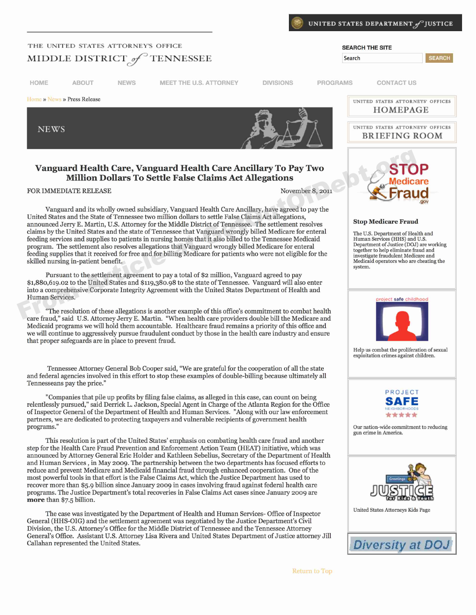

**SEARCH** 

## **I THE UNITED STATES ATTORNEY'S OFFICE**  $MIDDLE DISTRICT_{\text{off}}^{\text{}}$  TENNESSEE

**NEWS** 



## **Vanguard Health Care, Vanguard Health Care Ancillary To Pay Two<br>Million Dollars To Settle False Claims Act Allegations**<br>Movember 8. 20

Vanguard and its wholly owned subsidiary, Vanguard Health Care Ancillary, have agreed to pay the United States and the State of Tennessee two million dollars to settle False Claims Act allegations, announced Jerry E. Martin, U.S. Attorney for the Middle District of Tennessee. The settlement resolves<br>claims by the United States and the state of Tennessee that Vanguard wrongly billed Medicare for enteral<br>feeding servic claims by the United States and the state of Tennessee that Vanguard wrongly billed Medicare for enteral feeding services and supplies to patients in nursing homes that it also billed to the Tennessee Medicaid Human Services (HHS) and U.S.<br>
Department of Justice (DOJ) are working program. The settlement also resolves allegations that Vanguard wrongly billed Medicare for enteral Department of Justice (DOJ) are working that it is proposed for free and for hillig of a little of Medicare for entertaint feeding supplies that it received for free and for billing Medicare for patients who were not eligible for the<br>skilled nursing in-patient Medicare for enterprise and<br>Medicaid operators who are cheating the skilled nursing in-patient benefit. Vanguard Health Care, Vanguard Health Care Ancillary To Pay Two<br>
Million Dollars To Settle False Claims Act Allegations<br>
FOR IMMEDIATE RELEASE<br>
FROM MINO womend subsidiary, Vanguard Health Care Ancillary, have agreed to p

Pursuant to the settlement agreement to pay a total of \$2 million, Vanguard agreed to pay \$t,88o,6t9.o2 to the United States and **\$tt9,38o.98** to the state of Tennessee. Vanguard will also enter into a comprehensive Corporate Integrity Agreement with the United States Department of Health and Human Services. **Figure 2.1 Services** in the same of the same of the same of the same of the same of the same of the same of the same of the same of the same of the same of the same of the same of the same of the same of t

"The resolution of these allegations is another example of this office's commitment to combat health care fraud," said U.S. Attorney Jerry E. Martin. "When health care providers double bill the Medicare and Medicaid programs we will hold them accountable. Healthcare fraud remains a priority of this office and we will continue to aggressively pursue fraudulent conduct by those in the health care industry and ensure that proper safeguards are in place to prevent fraud.

Tennessee Attorney General Bob Cooper said, "We are grateful for the cooperation of all the state and federal agencies involved in this effort to stop these examples of double-billing because ultimately all Tennesseans pay the price."

"Companies that pile up profits by filing false claims, as alleged in this case, can count on being **PROJECT**<br>SAFE relentlessly pursued," said Derrick L. Jackson, Special Agent in Charge of the Atlanta Region for the Office of Inspector General of the Department of Health and Human Services. "Along with our law enforcement of Inspector General of the Department of Health and Human Services. "Along with our law enforcement  $\star\star\star\star\star\star$ <br>programs." Our nation-wide commitment programs."

This resolution is part of the United States' emphasis on combating health care fraud and another step for the Health Care Fraud Prevention and Enforcement Action Team (HEAT) initiative, which was announced by Attorney General Eric Holder and Kathleen Sebelius, Secretary of the Department of Health and Human Services, in May 2oo9. The partnership between the two departments has focused efforts to reduce and prevent Medicare and Medicaid financial fraud through enhanced cooperation. One of the most powerful tools in that effort is the False Claims Act, which the Justice Department has used to recover more than \$5.9 billion since January 2oo9 in cases involving fraud against federal health care programs. The Justice Department's total recoveries in False Claims Act cases since January 2oo9 are recover more than \$5.9 billion since January 2009 in cases involving fraud against federal health care<br>programs. The Justice Department's total recoveries in False Claims Act cases since January 2009 are<br>**more** than \$7.5 b

The case was investigated by the Department of Health and Human Services- Office of Inspector United States Attorneys Kids Page General (HHS-OIG) and the settlement agreement was negotiated by the Justice Department's Civil Division, the U.S. Attorney's Office for the Middle District of Tennessee and the Tennessee Attorney General's Office. Assistant U.S. Attorney Lisa Rivera and United States Department of Justice attorney Jill



system.



Help us combat the proliferation of sexual exploitation crimes against children.



Our nation-wide commitment to reducing gun crime in America.